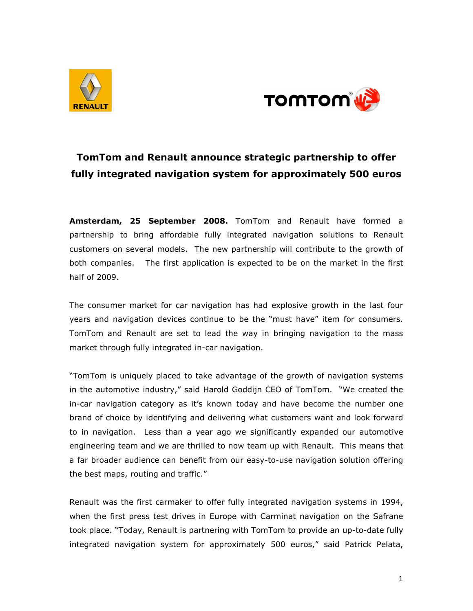



## TomTom and Renault announce strategic partnership to offer fully integrated navigation system for approximately 500 euros

Amsterdam, 25 September 2008. TomTom and Renault have formed a partnership to bring affordable fully integrated navigation solutions to Renault customers on several models. The new partnership will contribute to the growth of both companies. The first application is expected to be on the market in the first half of 2009.

The consumer market for car navigation has had explosive growth in the last four years and navigation devices continue to be the "must have" item for consumers. TomTom and Renault are set to lead the way in bringing navigation to the mass market through fully integrated in-car navigation.

"TomTom is uniquely placed to take advantage of the growth of navigation systems in the automotive industry," said Harold Goddijn CEO of TomTom. "We created the in-car navigation category as it's known today and have become the number one brand of choice by identifying and delivering what customers want and look forward to in navigation. Less than a year ago we significantly expanded our automotive engineering team and we are thrilled to now team up with Renault. This means that a far broader audience can benefit from our easy-to-use navigation solution offering the best maps, routing and traffic."

Renault was the first carmaker to offer fully integrated navigation systems in 1994, when the first press test drives in Europe with Carminat navigation on the Safrane took place. "Today, Renault is partnering with TomTom to provide an up-to-date fully integrated navigation system for approximately 500 euros," said Patrick Pelata,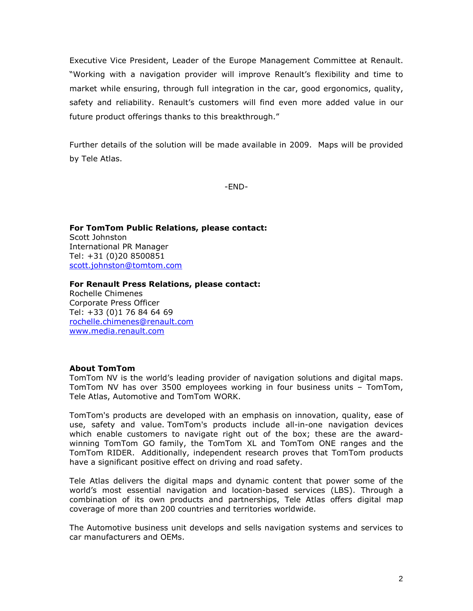Executive Vice President, Leader of the Europe Management Committee at Renault. "Working with a navigation provider will improve Renault's flexibility and time to market while ensuring, through full integration in the car, good ergonomics, quality, safety and reliability. Renault's customers will find even more added value in our future product offerings thanks to this breakthrough."

Further details of the solution will be made available in 2009. Maps will be provided by Tele Atlas.

-END-

For TomTom Public Relations, please contact: Scott Johnston International PR Manager Tel: +31 (0)20 8500851 scott.johnston@tomtom.com

For Renault Press Relations, please contact: Rochelle Chimenes Corporate Press Officer Tel: +33 (0)1 76 84 64 69 rochelle.chimenes@renault.com www.media.renault.com

## About TomTom

TomTom NV is the world's leading provider of navigation solutions and digital maps. TomTom NV has over 3500 employees working in four business units – TomTom, Tele Atlas, Automotive and TomTom WORK.

TomTom's products are developed with an emphasis on innovation, quality, ease of use, safety and value. TomTom's products include all-in-one navigation devices which enable customers to navigate right out of the box; these are the awardwinning TomTom GO family, the TomTom XL and TomTom ONE ranges and the TomTom RIDER. Additionally, independent research proves that TomTom products have a significant positive effect on driving and road safety.

Tele Atlas delivers the digital maps and dynamic content that power some of the world's most essential navigation and location-based services (LBS). Through a combination of its own products and partnerships, Tele Atlas offers digital map coverage of more than 200 countries and territories worldwide.

The Automotive business unit develops and sells navigation systems and services to car manufacturers and OEMs.